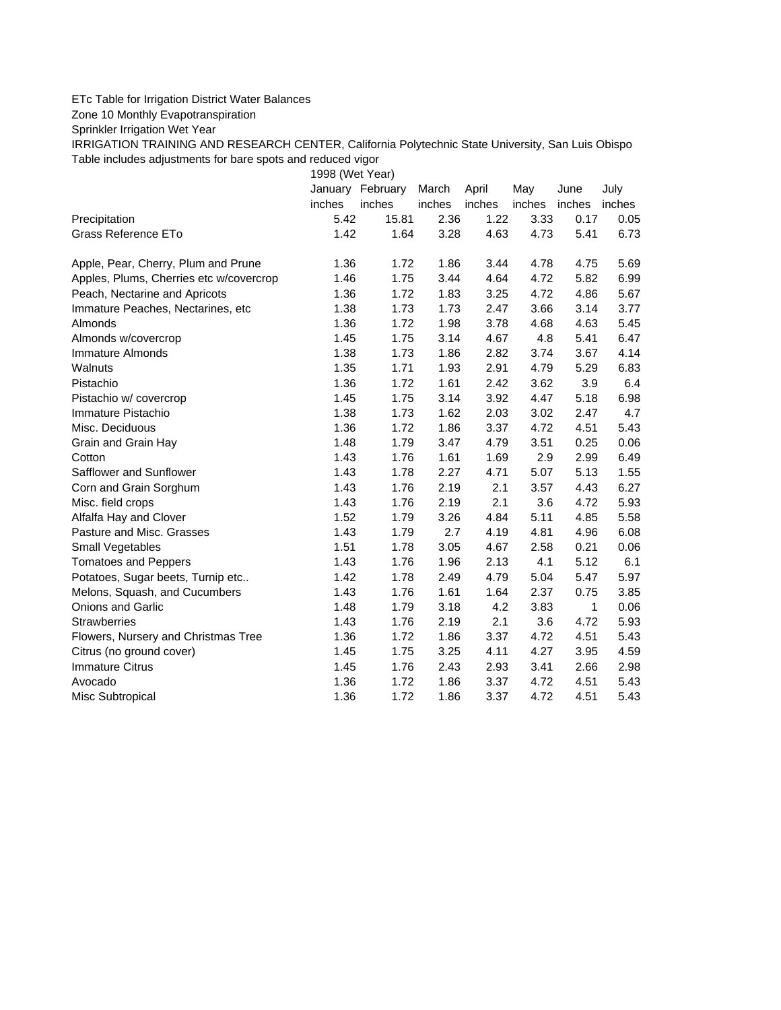## ETc Table for Irrigation District Water Balances

Zone 10 Monthly Evapotranspiration

Sprinkler Irrigation Wet Year

IRRIGATION TRAINING AND RESEARCH CENTER, California Polytechnic State University, San Luis Obispo Table includes adjustments for bare spots and reduced vigor

1998 (Wet Year)

|                                         |        | January February | March  | April  | May    | June   | July   |
|-----------------------------------------|--------|------------------|--------|--------|--------|--------|--------|
|                                         | inches | inches           | inches | inches | inches | inches | inches |
| Precipitation                           | 5.42   | 15.81            | 2.36   | 1.22   | 3.33   | 0.17   | 0.05   |
| Grass Reference ETo                     | 1.42   | 1.64             | 3.28   | 4.63   | 4.73   | 5.41   | 6.73   |
| Apple, Pear, Cherry, Plum and Prune     | 1.36   | 1.72             | 1.86   | 3.44   | 4.78   | 4.75   | 5.69   |
| Apples, Plums, Cherries etc w/covercrop | 1.46   | 1.75             | 3.44   | 4.64   | 4.72   | 5.82   | 6.99   |
| Peach, Nectarine and Apricots           | 1.36   | 1.72             | 1.83   | 3.25   | 4.72   | 4.86   | 5.67   |
| Immature Peaches, Nectarines, etc       | 1.38   | 1.73             | 1.73   | 2.47   | 3.66   | 3.14   | 3.77   |
| Almonds                                 | 1.36   | 1.72             | 1.98   | 3.78   | 4.68   | 4.63   | 5.45   |
| Almonds w/covercrop                     | 1.45   | 1.75             | 3.14   | 4.67   | 4.8    | 5.41   | 6.47   |
| <b>Immature Almonds</b>                 | 1.38   | 1.73             | 1.86   | 2.82   | 3.74   | 3.67   | 4.14   |
| Walnuts                                 | 1.35   | 1.71             | 1.93   | 2.91   | 4.79   | 5.29   | 6.83   |
| Pistachio                               | 1.36   | 1.72             | 1.61   | 2.42   | 3.62   | 3.9    | 6.4    |
| Pistachio w/ covercrop                  | 1.45   | 1.75             | 3.14   | 3.92   | 4.47   | 5.18   | 6.98   |
| Immature Pistachio                      | 1.38   | 1.73             | 1.62   | 2.03   | 3.02   | 2.47   | 4.7    |
| Misc. Deciduous                         | 1.36   | 1.72             | 1.86   | 3.37   | 4.72   | 4.51   | 5.43   |
| Grain and Grain Hay                     | 1.48   | 1.79             | 3.47   | 4.79   | 3.51   | 0.25   | 0.06   |
| Cotton                                  | 1.43   | 1.76             | 1.61   | 1.69   | 2.9    | 2.99   | 6.49   |
| Safflower and Sunflower                 | 1.43   | 1.78             | 2.27   | 4.71   | 5.07   | 5.13   | 1.55   |
| Corn and Grain Sorghum                  | 1.43   | 1.76             | 2.19   | 2.1    | 3.57   | 4.43   | 6.27   |
| Misc. field crops                       | 1.43   | 1.76             | 2.19   | 2.1    | 3.6    | 4.72   | 5.93   |
| Alfalfa Hay and Clover                  | 1.52   | 1.79             | 3.26   | 4.84   | 5.11   | 4.85   | 5.58   |
| Pasture and Misc. Grasses               | 1.43   | 1.79             | 2.7    | 4.19   | 4.81   | 4.96   | 6.08   |
| Small Vegetables                        | 1.51   | 1.78             | 3.05   | 4.67   | 2.58   | 0.21   | 0.06   |
| <b>Tomatoes and Peppers</b>             | 1.43   | 1.76             | 1.96   | 2.13   | 4.1    | 5.12   | 6.1    |
| Potatoes, Sugar beets, Turnip etc       | 1.42   | 1.78             | 2.49   | 4.79   | 5.04   | 5.47   | 5.97   |
| Melons, Squash, and Cucumbers           | 1.43   | 1.76             | 1.61   | 1.64   | 2.37   | 0.75   | 3.85   |
| Onions and Garlic                       | 1.48   | 1.79             | 3.18   | 4.2    | 3.83   | 1      | 0.06   |
| <b>Strawberries</b>                     | 1.43   | 1.76             | 2.19   | 2.1    | 3.6    | 4.72   | 5.93   |
| Flowers, Nursery and Christmas Tree     | 1.36   | 1.72             | 1.86   | 3.37   | 4.72   | 4.51   | 5.43   |
| Citrus (no ground cover)                | 1.45   | 1.75             | 3.25   | 4.11   | 4.27   | 3.95   | 4.59   |
| <b>Immature Citrus</b>                  | 1.45   | 1.76             | 2.43   | 2.93   | 3.41   | 2.66   | 2.98   |
| Avocado                                 | 1.36   | 1.72             | 1.86   | 3.37   | 4.72   | 4.51   | 5.43   |
| Misc Subtropical                        | 1.36   | 1.72             | 1.86   | 3.37   | 4.72   | 4.51   | 5.43   |